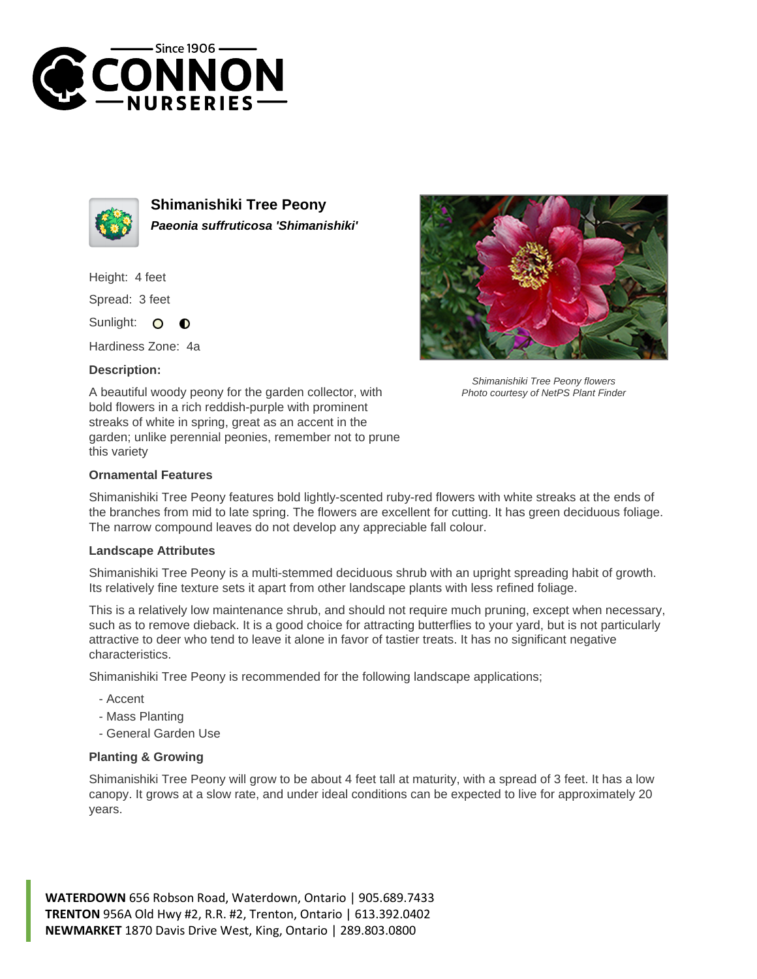



**Shimanishiki Tree Peony Paeonia suffruticosa 'Shimanishiki'**

Height: 4 feet

Spread: 3 feet

Sunlight: 0  $\bullet$ 

Hardiness Zone: 4a

## **Description:**



## **Ornamental Features**

Shimanishiki Tree Peony features bold lightly-scented ruby-red flowers with white streaks at the ends of the branches from mid to late spring. The flowers are excellent for cutting. It has green deciduous foliage. The narrow compound leaves do not develop any appreciable fall colour.

## **Landscape Attributes**

Shimanishiki Tree Peony is a multi-stemmed deciduous shrub with an upright spreading habit of growth. Its relatively fine texture sets it apart from other landscape plants with less refined foliage.

This is a relatively low maintenance shrub, and should not require much pruning, except when necessary, such as to remove dieback. It is a good choice for attracting butterflies to your yard, but is not particularly attractive to deer who tend to leave it alone in favor of tastier treats. It has no significant negative characteristics.

Shimanishiki Tree Peony is recommended for the following landscape applications;

- Accent
- Mass Planting
- General Garden Use

## **Planting & Growing**

Shimanishiki Tree Peony will grow to be about 4 feet tall at maturity, with a spread of 3 feet. It has a low canopy. It grows at a slow rate, and under ideal conditions can be expected to live for approximately 20 years.

**WATERDOWN** 656 Robson Road, Waterdown, Ontario | 905.689.7433 **TRENTON** 956A Old Hwy #2, R.R. #2, Trenton, Ontario | 613.392.0402 **NEWMARKET** 1870 Davis Drive West, King, Ontario | 289.803.0800



Shimanishiki Tree Peony flowers Photo courtesy of NetPS Plant Finder